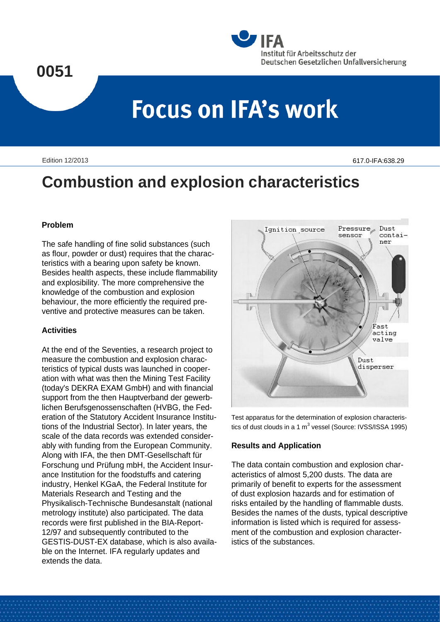# **0051**



# **Focus on IFA's work**

Edition 12/2013

617.0-IFA:638.29

# **Combustion and explosion characteristics**

## **Problem**

The safe handling of fine solid substances (such as flour, powder or dust) requires that the characteristics with a bearing upon safety be known. Besides health aspects, these include flammability and explosibility. The more comprehensive the knowledge of the combustion and explosion behaviour, the more efficiently the required preventive and protective measures can be taken.

# **Activities**

At the end of the Seventies, a research project to measure the combustion and explosion characteristics of typical dusts was launched in cooperation with what was then the Mining Test Facility (today's DEKRA EXAM GmbH) and with financial support from the then Hauptverband der gewerblichen Berufsgenossenschaften (HVBG, the Federation of the Statutory Accident Insurance Institutions of the Industrial Sector). In later years, the scale of the data records was extended considerably with funding from the European Community. Along with IFA, the then DMT-Gesellschaft für Forschung und Prüfung mbH, the Accident Insurance Institution for the foodstuffs and catering industry, Henkel KGaA, the Federal Institute for Materials Research and Testing and the Physikalisch-Technische Bundesanstalt (national metrology institute) also participated. The data records were first published in the BIA-Report-12/97 and subsequently contributed to the GESTIS-DUST-EX database, which is also available on the Internet. IFA regularly updates and extends the data.



Test apparatus for the determination of explosion characteristics of dust clouds in a 1  $m^3$  vessel (Source: IVSS/ISSA 1995)

# **Results and Application**

The data contain combustion and explosion characteristics of almost 5,200 dusts. The data are primarily of benefit to experts for the assessment of dust explosion hazards and for estimation of risks entailed by the handling of flammable dusts. Besides the names of the dusts, typical descriptive information is listed which is required for assessment of the combustion and explosion characteristics of the substances.